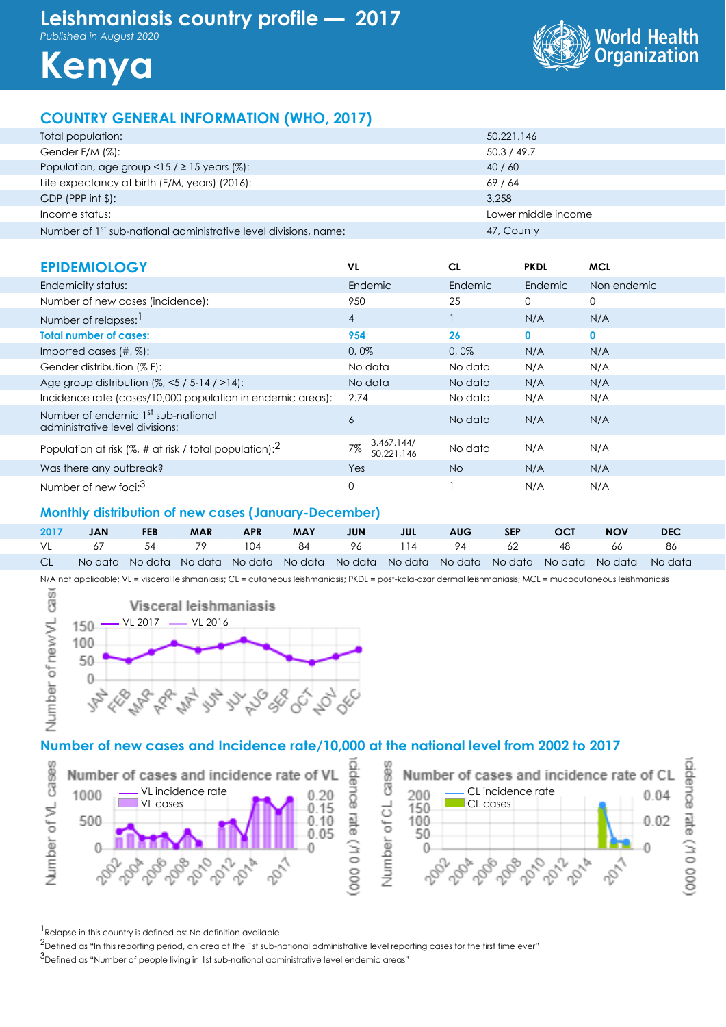*Published in August 2020*



**Kenya**

# **COUNTRY GENERAL INFORMATION (WHO, 2017)**

| Total population:                                                            | 50,221,146          |
|------------------------------------------------------------------------------|---------------------|
| Gender F/M (%):                                                              | 50.3 / 49.7         |
| Population, age group <15 / $\geq$ 15 years (%):                             | 40/60               |
| Life expectancy at birth (F/M, years) (2016):                                | 69/64               |
| GDP (PPP int $$$ ):                                                          | 3.258               |
| Income status:                                                               | Lower middle income |
| Number of 1 <sup>st</sup> sub-national administrative level divisions, name: | 47, County          |

| <b>EPIDEMIOLOGY</b>                                                               | VL                             | <b>CL</b> | <b>PKDL</b> | <b>MCL</b>   |
|-----------------------------------------------------------------------------------|--------------------------------|-----------|-------------|--------------|
| Endemicity status:                                                                | Endemic                        | Endemic   | Endemic     | Non endemic  |
| Number of new cases (incidence):                                                  | 950                            | 25        | 0           | 0            |
| Number of relapses:                                                               | $\overline{4}$                 |           | N/A         | N/A          |
| <b>Total number of cases:</b>                                                     | 954                            | 26        | 0           | $\mathbf{0}$ |
| Imported cases $(\#, \%)$ :                                                       | 0,0%                           | 0,0%      | N/A         | N/A          |
| Gender distribution (% F):                                                        | No data                        | No data   | N/A         | N/A          |
| Age group distribution $(%,-5/5-14/>14)$ :                                        | No data                        | No data   | N/A         | N/A          |
| Incidence rate (cases/10,000 population in endemic areas):                        | 2.74                           | No data   | N/A         | N/A          |
| Number of endemic 1 <sup>st</sup> sub-national<br>administrative level divisions: | 6                              | No data   | N/A         | N/A          |
| Population at risk (%, # at risk / total population): $^2$                        | 3,467,144/<br>7%<br>50,221,146 | No data   | N/A         | N/A          |
| Was there any outbreak?                                                           | Yes                            | <b>No</b> | N/A         | N/A          |
| Number of new foci: <sup>3</sup>                                                  | 0                              |           | N/A         | N/A          |

#### **Monthly distribution of new cases (January-December)**

| 2017 | <b>JAN</b> | <b>FEB</b> | <b>MAR</b> | <b>APR</b> | <b>MAY</b> | <b>JUN</b> | <b>Solution State State State State State</b> | <b>AUG</b> | SEP | OCT . | <b>NOV</b>                                                                                                  | <b>DEC</b> |  |
|------|------------|------------|------------|------------|------------|------------|-----------------------------------------------|------------|-----|-------|-------------------------------------------------------------------------------------------------------------|------------|--|
|      |            |            |            |            |            |            |                                               |            |     |       | VL 67 54 79 104 84 96 114 94 62 48 66 86                                                                    |            |  |
|      |            |            |            |            |            |            |                                               |            |     |       | CL  No data No data No data No data No data No data No data No data No data No data No data No data No data |            |  |

N/A not applicable; VL = visceral leishmaniasis; CL = cutaneous leishmaniasis; PKDL = post-kala-azar dermal leishmaniasis; MCL = mucocutaneous leishmaniasis



### **Number of new cases and Incidence rate/10,000 at the national level from 2002 to 2017**



<sup>1</sup> Relapse in this country is defined as: No definition available

<sup>2</sup>Defined as "In this reporting period, an area at the 1st sub-national administrative level reporting cases for the first time ever"

3Defined as "Number of people living in 1st sub-national administrative level endemic areas"